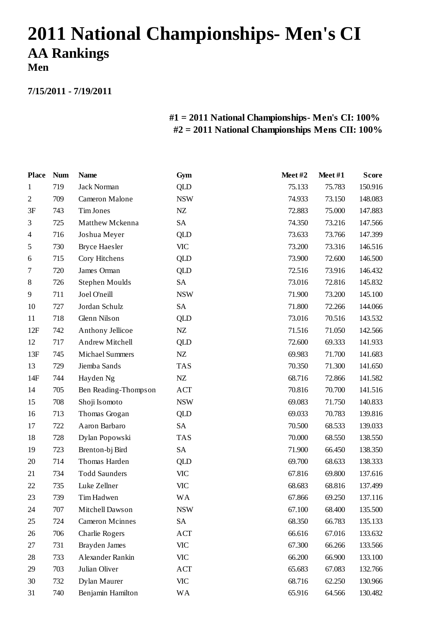## **2011 National Championships- Men's CI AA Rankings**

**Men**

**7/15/2011 - 7/19/2011**

## **#1 = 2011 National Championships- Men's CI: 100% #2 = 2011 National Championships Mens CII: 100%**

| <b>Place</b>   | <b>Num</b> | <b>Name</b>            | Gym        | Meet#2 | Meet#1 | <b>Score</b> |
|----------------|------------|------------------------|------------|--------|--------|--------------|
| 1              | 719        | Jack Norman            | <b>QLD</b> | 75.133 | 75.783 | 150.916      |
| $\mathfrak{2}$ | 709        | Cameron Malone         | <b>NSW</b> | 74.933 | 73.150 | 148.083      |
| 3F             | 743        | Tim Jones              | NZ         | 72.883 | 75.000 | 147.883      |
| 3              | 725        | Matthew Mckenna        | SA         | 74.350 | 73.216 | 147.566      |
| 4              | 716        | Joshua Meyer           | <b>QLD</b> | 73.633 | 73.766 | 147.399      |
| 5              | 730        | Bryce Haesler          | VIC        | 73.200 | 73.316 | 146.516      |
| 6              | 715        | Cory Hitchens          | <b>QLD</b> | 73.900 | 72.600 | 146.500      |
| 7              | 720        | James Orman            | <b>QLD</b> | 72.516 | 73.916 | 146.432      |
| 8              | 726        | Stephen Moulds         | SA         | 73.016 | 72.816 | 145.832      |
| 9              | 711        | Joel O'neill           | <b>NSW</b> | 71.900 | 73.200 | 145.100      |
| 10             | 727        | Jordan Schulz          | SA         | 71.800 | 72.266 | 144.066      |
| 11             | 718        | Glenn Nilson           | <b>QLD</b> | 73.016 | 70.516 | 143.532      |
| 12F            | 742        | Anthony Jellicoe       | NZ         | 71.516 | 71.050 | 142.566      |
| 12             | 717        | Andrew Mitchell        | <b>QLD</b> | 72.600 | 69.333 | 141.933      |
| 13F            | 745        | <b>Michael Summers</b> | NZ         | 69.983 | 71.700 | 141.683      |
| 13             | 729        | Jiemba Sands           | <b>TAS</b> | 70.350 | 71.300 | 141.650      |
| 14F            | 744        | Hayden Ng              | ${\rm NZ}$ | 68.716 | 72.866 | 141.582      |
| 14             | 705        | Ben Reading-Thompson   | ACT        | 70.816 | 70.700 | 141.516      |
| 15             | 708        | Shoji Isomoto          | <b>NSW</b> | 69.083 | 71.750 | 140.833      |
| 16             | 713        | Thomas Grogan          | <b>QLD</b> | 69.033 | 70.783 | 139.816      |
| 17             | 722        | Aaron Barbaro          | SA         | 70.500 | 68.533 | 139.033      |
| 18             | 728        | Dylan Popowski         | <b>TAS</b> | 70.000 | 68.550 | 138.550      |
| 19             | 723        | Brenton-bj Bird        | SA         | 71.900 | 66.450 | 138.350      |
| 20             | 714        | Thomas Harden          | QLD        | 69.700 | 68.633 | 138.333      |
| 21             | 734        | <b>Todd Saunders</b>   | <b>VIC</b> | 67.816 | 69.800 | 137.616      |
| 22             | 735        | Luke Zellner           | <b>VIC</b> | 68.683 | 68.816 | 137.499      |
| 23             | 739        | Tim Hadwen             | WA         | 67.866 | 69.250 | 137.116      |
| 24             | 707        | Mitchell Dawson        | <b>NSW</b> | 67.100 | 68.400 | 135.500      |
| 25             | 724        | <b>Cameron Mcinnes</b> | SA         | 68.350 | 66.783 | 135.133      |
| 26             | 706        | Charlie Rogers         | ACT        | 66.616 | 67.016 | 133.632      |
| 27             | 731        | Brayden James          | <b>VIC</b> | 67.300 | 66.266 | 133.566      |
| 28             | 733        | Alexander Rankin       | VIC        | 66.200 | 66.900 | 133.100      |
| 29             | 703        | Julian Oliver          | ACT        | 65.683 | 67.083 | 132.766      |
| 30             | 732        | Dylan Maurer           | <b>VIC</b> | 68.716 | 62.250 | 130.966      |
| 31             | 740        | Benjamin Hamilton      | WA         | 65.916 | 64.566 | 130.482      |